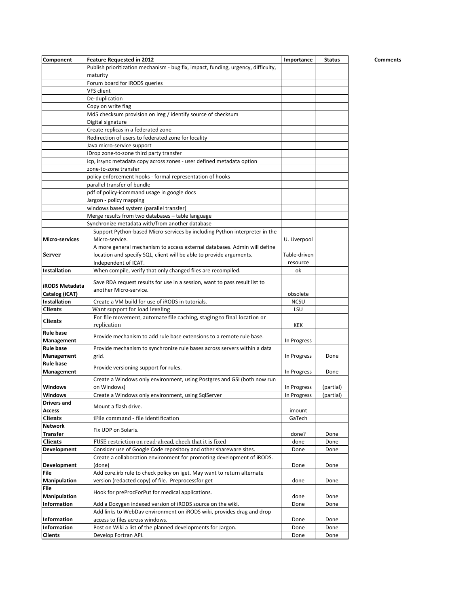| Component                      | Feature Requested in 2012                                                             | Importance         | <b>Status</b> | Comments |
|--------------------------------|---------------------------------------------------------------------------------------|--------------------|---------------|----------|
|                                | Publish prioritization mechanism - bug fix, impact, funding, urgency, difficulty,     |                    |               |          |
|                                | maturity                                                                              |                    |               |          |
|                                | Forum board for iRODS queries                                                         |                    |               |          |
|                                | VFS client                                                                            |                    |               |          |
|                                | De-duplication                                                                        |                    |               |          |
|                                | Copy on write flag                                                                    |                    |               |          |
|                                | Md5 checksum provision on ireg / identify source of checksum                          |                    |               |          |
|                                | Digital signature                                                                     |                    |               |          |
|                                | Create replicas in a federated zone                                                   |                    |               |          |
|                                | Redirection of users to federated zone for locality                                   |                    |               |          |
|                                | Java micro-service support                                                            |                    |               |          |
|                                | iDrop zone-to-zone third party transfer                                               |                    |               |          |
|                                | icp, irsync metadata copy across zones - user defined metadata option                 |                    |               |          |
|                                | zone-to-zone transfer                                                                 |                    |               |          |
|                                | policy enforcement hooks - formal representation of hooks                             |                    |               |          |
|                                | parallel transfer of bundle                                                           |                    |               |          |
|                                | pdf of policy-icommand usage in google docs                                           |                    |               |          |
|                                | Jargon - policy mapping                                                               |                    |               |          |
|                                | windows based system (parallel transfer)                                              |                    |               |          |
|                                | Merge results from two databases - table language                                     |                    |               |          |
|                                | Synchronize metadata with/from another database                                       |                    |               |          |
|                                | Support Python-based Micro-services by including Python interpreter in the            |                    |               |          |
| <b>Micro-services</b>          | Micro-service.                                                                        | U. Liverpool       |               |          |
|                                | A more general mechanism to access external databases. Admin will define              |                    |               |          |
| <b>Server</b>                  | location and specify SQL, client will be able to provide arguments.                   | Table-driven       |               |          |
|                                | Independent of ICAT.                                                                  | resource           |               |          |
| Installation                   | When compile, verify that only changed files are recompiled.                          | ok                 |               |          |
|                                | Save RDA request results for use in a session, want to pass result list to            |                    |               |          |
| <b>iRODS Metadata</b>          | another Micro-service.                                                                |                    |               |          |
| Catalog (iCAT)<br>Installation |                                                                                       | obsolete           |               |          |
| <b>Clients</b>                 | Create a VM build for use of iRODS in tutorials.                                      | <b>NCSU</b><br>LSU |               |          |
|                                | Want support for load leveling                                                        |                    |               |          |
| <b>Clients</b>                 | For file movement, automate file caching, staging to final location or<br>replication | <b>KEK</b>         |               |          |
| <b>Rule base</b>               |                                                                                       |                    |               |          |
| Management                     | Provide mechanism to add rule base extensions to a remote rule base.                  | In Progress        |               |          |
| <b>Rule base</b>               | Provide mechanism to synchronize rule bases across servers within a data              |                    |               |          |
| Management                     | grid.                                                                                 | In Progress        | Done          |          |
| <b>Rule base</b>               |                                                                                       |                    |               |          |
| Management                     | Provide versioning support for rules.                                                 | In Progress        | Done          |          |
|                                | Create a Windows only environment, using Postgres and GSI (both now run               |                    |               |          |
| <b>Windows</b>                 | on Windows)                                                                           | In Progress        | (partial)     |          |
| <b>Windows</b>                 | Create a Windows only environment, using SqlServer                                    | In Progress        | (partial)     |          |
| <b>Drivers and</b>             |                                                                                       |                    |               |          |
| Access                         | Mount a flash drive.                                                                  | imount             |               |          |
| <b>Clients</b>                 | iFile command - file identification                                                   | GaTech             |               |          |
| <b>Network</b>                 | Fix UDP on Solaris.                                                                   |                    |               |          |
| <b>Transfer</b>                |                                                                                       | done?              | Done          |          |
| <b>Clients</b>                 | FUSE restriction on read-ahead, check that it is fixed                                | done               | Done          |          |
| Development                    | Consider use of Google Code repository and other shareware sites.                     | Done               | Done          |          |
|                                | Create a collaboration environment for promoting development of iRODS.                |                    |               |          |
| Development                    | (done)                                                                                | Done               | Done          |          |
| File                           | Add core.irb rule to check policy on iget. May want to return alternate               |                    |               |          |
| Manipulation                   | version (redacted copy) of file. Preprocessfor get                                    | done               | Done          |          |
| File                           | Hook for preProcForPut for medical applications.                                      |                    |               |          |
| <b>Manipulation</b>            |                                                                                       | done               | Done          |          |
| Information                    | Add a Doxygen indexed version of iRODS source on the wiki.                            | Done               | Done          |          |
|                                | Add links to WebDav environment on iRODS wiki, provides drag and drop                 |                    |               |          |
| Information                    | access to files across windows.                                                       | Done               | Done          |          |
| Information                    | Post on Wiki a list of the planned developments for Jargon.                           | Done               | Done          |          |
| <b>Clients</b>                 | Develop Fortran API.                                                                  | Done               | Done          |          |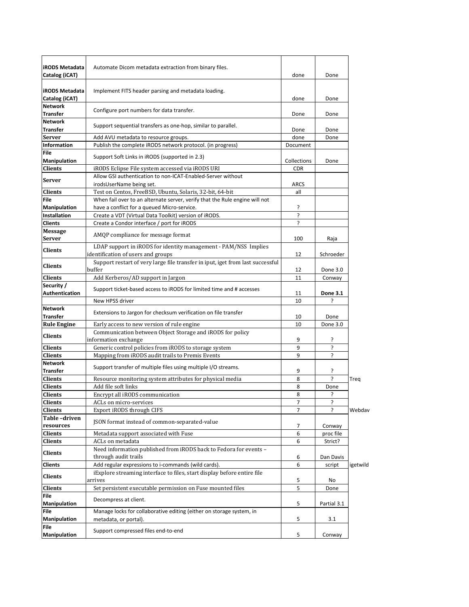| <b>iRODS Metadata</b>                   | Automate Dicom metadata extraction from binary files.                                                                      |                |             |          |
|-----------------------------------------|----------------------------------------------------------------------------------------------------------------------------|----------------|-------------|----------|
| Catalog (iCAT)                          |                                                                                                                            | done           | Done        |          |
| <b>iRODS Metadata</b><br>Catalog (iCAT) | Implement FITS header parsing and metadata loading.                                                                        | done           | Done        |          |
| <b>Network</b><br><b>Transfer</b>       | Configure port numbers for data transfer.                                                                                  | Done           | Done        |          |
| <b>Network</b><br><b>Transfer</b>       | Support sequential transfers as one-hop, similar to parallel.                                                              | Done           | Done        |          |
| <b>Server</b>                           | Add AVU metadata to resource groups.                                                                                       | done           | Done        |          |
| <b>Information</b>                      | Publish the complete iRODS network protocol. (in progress)                                                                 | Document       |             |          |
| <b>File</b><br>Manipulation             | Support Soft Links in iRODS (supported in 2.3)                                                                             | Collections    | Done        |          |
| <b>Clients</b>                          | iRODS Eclipse File system accessed via iRODS URI                                                                           | <b>CDR</b>     |             |          |
| <b>Server</b>                           | Allow GSI authentication to non-ICAT-Enabled-Server without<br>irodsUserName being set.                                    | <b>ARCS</b>    |             |          |
| Clients                                 | Test on Centos, FreeBSD, Ubuntu, Solaris, 32-bit, 64-bit                                                                   | all            |             |          |
| File<br>Manipulation                    | When fail over to an alternate server, verify that the Rule engine will not<br>have a conflict for a queued Micro-service. | ŗ              |             |          |
| <b>Installation</b>                     | Create a VDT (Virtual Data Toolkit) version of iRODS.                                                                      | ?              |             |          |
| <b>Clients</b>                          | Create a Condor interface / port for iRODS                                                                                 | <sup>2</sup>   |             |          |
| <b>Message</b>                          |                                                                                                                            |                |             |          |
| <b>Server</b>                           | AMQP compliance for message format<br>LDAP support in iRODS for identity management - PAM/NSS Implies                      | 100            | Raja        |          |
| <b>Clients</b>                          | identification of users and groups<br>Support restart of very large file transfer in iput, iget from last successful       | 12             | Schroeder   |          |
| <b>Clients</b>                          | buffer                                                                                                                     | 12             | Done 3.0    |          |
| <b>Clients</b>                          | Add Kerberos/AD support in Jargon                                                                                          | 11             | Conway      |          |
| Security /<br><b>Authentication</b>     | Support ticket-based access to iRODS for limited time and # accesses                                                       | 11             | Done 3.1    |          |
|                                         | New HPSS driver                                                                                                            | 10             |             |          |
| <b>Network</b><br><b>Transfer</b>       | Extensions to Jargon for checksum verification on file transfer                                                            | 10             | Done        |          |
| <b>Rule Engine</b>                      | Early access to new version of rule engine                                                                                 | 10             | Done 3.0    |          |
| <b>Clients</b>                          | Communication between Object Storage and iRODS for policy<br>information exchange                                          | 9              | ŗ           |          |
| Clients                                 | Generic control policies from iRODS to storage system                                                                      | 9              | ŗ           |          |
| <b>Clients</b>                          | Mapping from iRODS audit trails to Premis Events                                                                           | 9              | ?           |          |
| <b>Network</b><br><b>Transfer</b>       | Support transfer of multiple files using multiple I/O streams.                                                             | 9              | ŗ           |          |
| <b>Clients</b>                          | Resource monitoring system attributes for physical media                                                                   | 8              | ŗ           | Treq     |
| <b>Clients</b>                          | Add file soft links                                                                                                        | 8              | Done        |          |
| <b>Clients</b>                          | Encrypt all iRODS communication                                                                                            | 8              | S.          |          |
| <b>Clients</b>                          | ACLs on micro-services                                                                                                     | 7              | ç.          |          |
| <b>Clients</b>                          | Export iRODS through CIFS                                                                                                  | $\overline{7}$ |             | Webdav   |
| Table-driven                            | JSON format instead of common-separated-value                                                                              |                |             |          |
| resources                               |                                                                                                                            | 7              | Conway      |          |
| Clients                                 | Metadata support associated with Fuse                                                                                      | 6              | proc file   |          |
| <b>Clients</b>                          | ACLs on metadata                                                                                                           | 6              | Strict?     |          |
| Clients                                 | Need information published from iRODS back to Fedora for events -<br>through audit trails                                  | 6              | Dan Davis   |          |
| Clients                                 | Add regular expressions to i-commands (wild cards).                                                                        | 6              | script      | igetwild |
| Clients                                 | iExplore streaming interface to files, start display before entire file<br>arrives                                         | 5              | No          |          |
| Clients                                 | Set persistent executable permission on Fuse mounted files                                                                 | 5              | Done        |          |
| File                                    |                                                                                                                            |                |             |          |
| Manipulation<br>File                    | Decompress at client.<br>Manage locks for collaborative editing (either on storage system, in                              | 5              | Partial 3.1 |          |
| <b>Manipulation</b>                     | metadata, or portal).                                                                                                      | 5              | 3.1         |          |
| File<br>Manipulation                    | Support compressed files end-to-end                                                                                        | 5              | Conway      |          |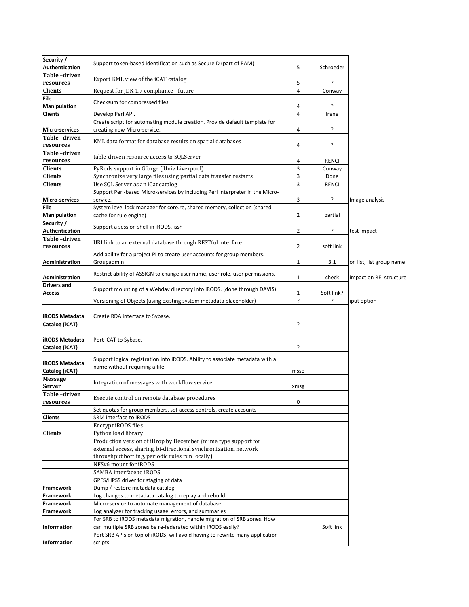| Security /<br>Authentication     | Support token-based identification such as SecureID (part of PAM)                         | 5              | Schroeder    |                          |
|----------------------------------|-------------------------------------------------------------------------------------------|----------------|--------------|--------------------------|
| Table-driven<br>resources        | Export KML view of the iCAT catalog                                                       | 5              | ŗ            |                          |
| <b>Clients</b>                   | Request for JDK 1.7 compliance - future                                                   | 4              | Conway       |                          |
| File                             |                                                                                           |                |              |                          |
| <b>Manipulation</b>              | Checksum for compressed files                                                             | 4              | ŗ            |                          |
| Clients                          | Develop Perl API.                                                                         | 4              | Irene        |                          |
|                                  | Create script for automating module creation. Provide default template for                |                |              |                          |
| <b>Micro-services</b>            | creating new Micro-service.                                                               | 4              | ŗ            |                          |
| Table-driven                     | KML data format for database results on spatial databases                                 |                |              |                          |
| resources                        |                                                                                           | 4              | ŗ            |                          |
| Table-driven                     | table-driven resource access to SQLServer                                                 |                |              |                          |
| resources                        |                                                                                           | 4<br>3         | <b>RENCI</b> |                          |
| <b>Clients</b>                   | PyRods support in Gforge (Univ Liverpool)                                                 |                | Conway       |                          |
| <b>Clients</b>                   | Synchronize very large files using partial data transfer restarts                         | 3<br>3         | Done         |                          |
| Clients                          | Use SQL Server as an iCat catalog                                                         |                | <b>RENCI</b> |                          |
| Micro-services                   | Support Perl-based Micro-services by including Perl interpreter in the Micro-<br>service. | 3              | ŗ            | Image analysis           |
| File                             | System level lock manager for core.re, shared memory, collection (shared                  |                |              |                          |
| Manipulation                     | cache for rule engine)                                                                    | 2              | partial      |                          |
| Security /                       |                                                                                           |                |              |                          |
| Authentication                   | Support a session shell in iRODS, issh                                                    | $\overline{2}$ | ŗ            | test impact              |
| Table-driven                     |                                                                                           |                |              |                          |
| resources                        | URI link to an external database through RESTful interface                                | 2              | soft link    |                          |
|                                  | Add ability for a project PI to create user accounts for group members.                   |                |              |                          |
| Administration                   | Groupadmin                                                                                | 1              | 3.1          | on list, list group name |
|                                  |                                                                                           |                |              |                          |
| Administration                   | Restrict ability of ASSIGN to change user name, user role, user permissions.              | 1              | check        | impact on REI structure  |
| <b>Drivers and</b>               | Support mounting of a Webdav directory into iRODS. (done through DAVIS)                   |                |              |                          |
| Access                           |                                                                                           | 1              | Soft link?   |                          |
|                                  | Versioning of Objects (using existing system metadata placeholder)                        | ?              | 5            | iput option              |
|                                  |                                                                                           |                |              |                          |
| <b>iRODS Metadata</b>            | Create RDA interface to Sybase.                                                           |                |              |                          |
| Catalog (iCAT)                   |                                                                                           | Ś.             |              |                          |
|                                  |                                                                                           |                |              |                          |
| <b>iRODS Metadata</b>            | Port iCAT to Sybase.                                                                      |                |              |                          |
| Catalog (iCAT)                   |                                                                                           | ŗ              |              |                          |
|                                  | Support logical registration into iRODS. Ability to associate metadata with a             |                |              |                          |
| <b>iRODS Metadata</b>            | name without requiring a file.                                                            |                |              |                          |
| Catalog (iCAT)<br><b>Message</b> |                                                                                           | msso           |              |                          |
| Server                           | Integration of messages with workflow service                                             |                |              |                          |
| Table-driven                     |                                                                                           | xmsg           |              |                          |
| resources                        | Execute control on remote database procedures                                             | 0              |              |                          |
|                                  | Set quotas for group members, set access controls, create accounts                        |                |              |                          |
| <b>Clients</b>                   | SRM interface to iRODS                                                                    |                |              |                          |
|                                  | Encrypt iRODS files                                                                       |                |              |                          |
| <b>Clients</b>                   | Python load library                                                                       |                |              |                          |
|                                  | Production version of iDrop by December (mime type support for                            |                |              |                          |
|                                  | external access, sharing, bi-directional synchronization, network                         |                |              |                          |
|                                  | throughput bottling, periodic rules run locally)                                          |                |              |                          |
|                                  | NFSv6 mount for iRODS                                                                     |                |              |                          |
|                                  | SAMBA interface to iRODS                                                                  |                |              |                          |
|                                  | GPFS/HPSS driver for staging of data                                                      |                |              |                          |
| Framework                        | Dump / restore metadata catalog                                                           |                |              |                          |
| Framework                        | Log changes to metadata catalog to replay and rebuild                                     |                |              |                          |
| Framework                        | Micro-service to automate management of database                                          |                |              |                          |
| Framework                        | Log analyzer for tracking usage, errors, and summaries                                    |                |              |                          |
|                                  | For SRB to iRODS metadata migration, handle migration of SRB zones. How                   |                |              |                          |
| Information                      | can multiple SRB zones be re-federated within iRODS easily?                               |                | Soft link    |                          |
|                                  | Port SRB APIs on top of iRODS, will avoid having to rewrite many application              |                |              |                          |
| Information                      | scripts.                                                                                  |                |              |                          |